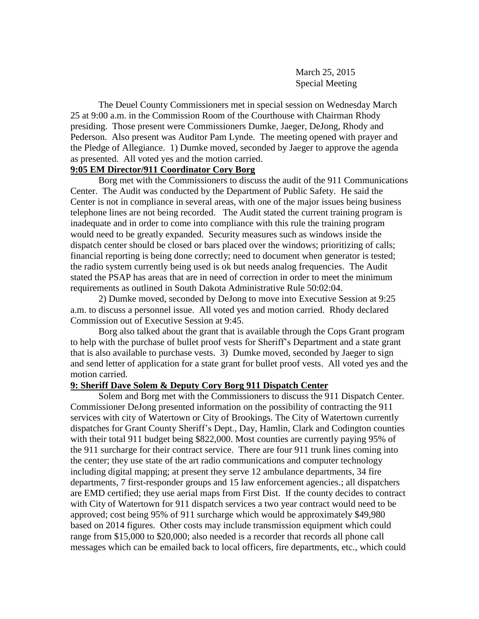March 25, 2015 Special Meeting

The Deuel County Commissioners met in special session on Wednesday March 25 at 9:00 a.m. in the Commission Room of the Courthouse with Chairman Rhody presiding. Those present were Commissioners Dumke, Jaeger, DeJong, Rhody and Pederson. Also present was Auditor Pam Lynde. The meeting opened with prayer and the Pledge of Allegiance. 1) Dumke moved, seconded by Jaeger to approve the agenda as presented. All voted yes and the motion carried.

## **9:05 EM Director/911 Coordinator Cory Borg**

Borg met with the Commissioners to discuss the audit of the 911 Communications Center. The Audit was conducted by the Department of Public Safety. He said the Center is not in compliance in several areas, with one of the major issues being business telephone lines are not being recorded. The Audit stated the current training program is inadequate and in order to come into compliance with this rule the training program would need to be greatly expanded. Security measures such as windows inside the dispatch center should be closed or bars placed over the windows; prioritizing of calls; financial reporting is being done correctly; need to document when generator is tested; the radio system currently being used is ok but needs analog frequencies. The Audit stated the PSAP has areas that are in need of correction in order to meet the minimum requirements as outlined in South Dakota Administrative Rule 50:02:04.

2) Dumke moved, seconded by DeJong to move into Executive Session at 9:25 a.m. to discuss a personnel issue. All voted yes and motion carried. Rhody declared Commission out of Executive Session at 9:45.

Borg also talked about the grant that is available through the Cops Grant program to help with the purchase of bullet proof vests for Sheriff's Department and a state grant that is also available to purchase vests. 3) Dumke moved, seconded by Jaeger to sign and send letter of application for a state grant for bullet proof vests. All voted yes and the motion carried.

## **9: Sheriff Dave Solem & Deputy Cory Borg 911 Dispatch Center**

Solem and Borg met with the Commissioners to discuss the 911 Dispatch Center. Commissioner DeJong presented information on the possibility of contracting the 911 services with city of Watertown or City of Brookings. The City of Watertown currently dispatches for Grant County Sheriff's Dept., Day, Hamlin, Clark and Codington counties with their total 911 budget being \$822,000. Most counties are currently paying 95% of the 911 surcharge for their contract service. There are four 911 trunk lines coming into the center; they use state of the art radio communications and computer technology including digital mapping; at present they serve 12 ambulance departments, 34 fire departments, 7 first-responder groups and 15 law enforcement agencies.; all dispatchers are EMD certified; they use aerial maps from First Dist. If the county decides to contract with City of Watertown for 911 dispatch services a two year contract would need to be approved; cost being 95% of 911 surcharge which would be approximately \$49,980 based on 2014 figures. Other costs may include transmission equipment which could range from \$15,000 to \$20,000; also needed is a recorder that records all phone call messages which can be emailed back to local officers, fire departments, etc., which could